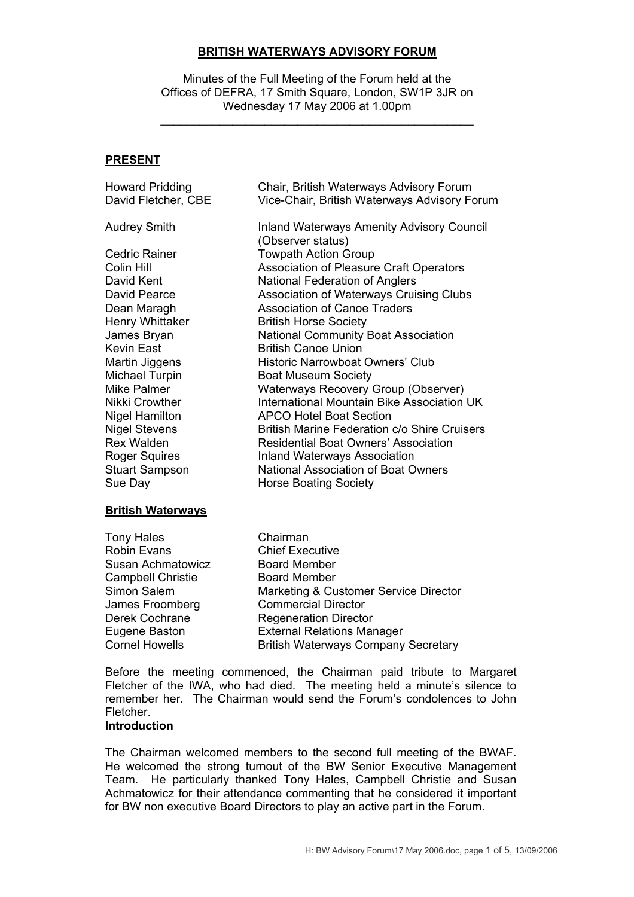#### **BRITISH WATERWAYS ADVISORY FORUM**

Minutes of the Full Meeting of the Forum held at the Offices of DEFRA, 17 Smith Square, London, SW1P 3JR on Wednesday 17 May 2006 at 1.00pm

\_\_\_\_\_\_\_\_\_\_\_\_\_\_\_\_\_\_\_\_\_\_\_\_\_\_\_\_\_\_\_\_\_\_\_\_\_\_\_\_\_\_\_\_\_\_\_\_

#### **PRESENT**

| <b>Howard Pridding</b> | Chair, British Waterways Advisory Forum                               |
|------------------------|-----------------------------------------------------------------------|
| David Fletcher, CBE    | Vice-Chair, British Waterways Advisory Forum                          |
| <b>Audrey Smith</b>    | <b>Inland Waterways Amenity Advisory Council</b><br>(Observer status) |
| Cedric Rainer          | <b>Towpath Action Group</b>                                           |
| Colin Hill             | Association of Pleasure Craft Operators                               |
| David Kent             | National Federation of Anglers                                        |
| David Pearce           | Association of Waterways Cruising Clubs                               |
| Dean Maragh            | <b>Association of Canoe Traders</b>                                   |
| Henry Whittaker        | <b>British Horse Society</b>                                          |
| James Bryan            | <b>National Community Boat Association</b>                            |
| Kevin East             | <b>British Canoe Union</b>                                            |
| Martin Jiggens         | Historic Narrowboat Owners' Club                                      |
| <b>Michael Turpin</b>  | <b>Boat Museum Society</b>                                            |
| Mike Palmer            | Waterways Recovery Group (Observer)                                   |
| Nikki Crowther         | International Mountain Bike Association UK                            |
| <b>Nigel Hamilton</b>  | <b>APCO Hotel Boat Section</b>                                        |
| <b>Nigel Stevens</b>   | <b>British Marine Federation c/o Shire Cruisers</b>                   |
| <b>Rex Walden</b>      | <b>Residential Boat Owners' Association</b>                           |
| <b>Roger Squires</b>   | <b>Inland Waterways Association</b>                                   |
| <b>Stuart Sampson</b>  | <b>National Association of Boat Owners</b>                            |
| Sue Day                | <b>Horse Boating Society</b>                                          |
|                        |                                                                       |

#### **British Waterways**

Tony Hales Chairman Robin Evans Chief Executive Susan Achmatowicz Board Member Campbell Christie **Board Member**  Simon Salem Marketing & Customer Service Director James Froomberg Commercial Director Derek Cochrane Regeneration Director Eugene Baston External Relations Manager Cornel Howells **British Waterways Company Secretary** 

 Before the meeting commenced, the Chairman paid tribute to Margaret Fletcher of the IWA, who had died. The meeting held a minute's silence to remember her. The Chairman would send the Forum's condolences to John **Fletcher** 

#### **Introduction**

The Chairman welcomed members to the second full meeting of the BWAF. He welcomed the strong turnout of the BW Senior Executive Management Team. He particularly thanked Tony Hales, Campbell Christie and Susan Achmatowicz for their attendance commenting that he considered it important for BW non executive Board Directors to play an active part in the Forum.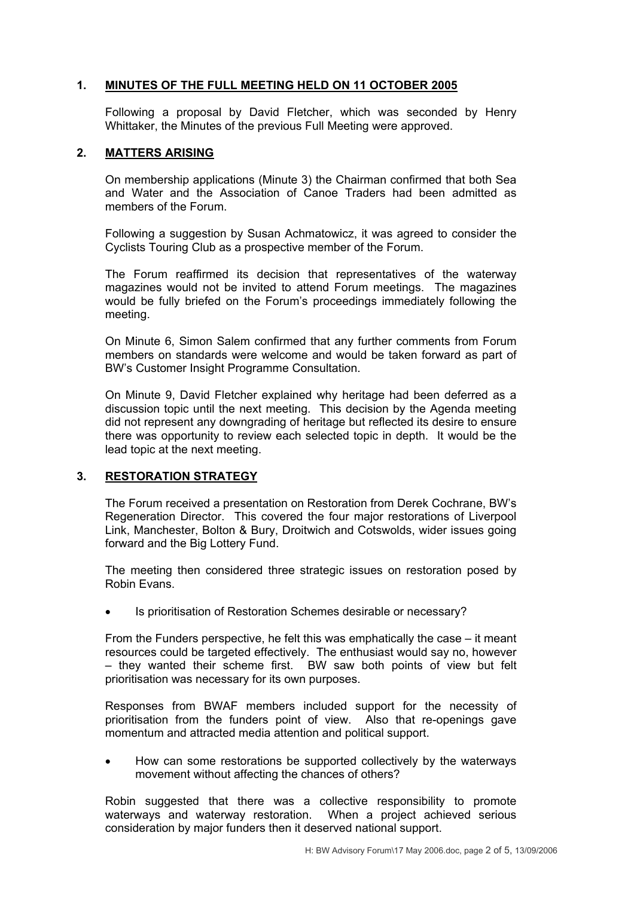## **1. MINUTES OF THE FULL MEETING HELD ON 11 OCTOBER 2005**

Following a proposal by David Fletcher, which was seconded by Henry Whittaker, the Minutes of the previous Full Meeting were approved.

#### **2. MATTERS ARISING**

On membership applications (Minute 3) the Chairman confirmed that both Sea and Water and the Association of Canoe Traders had been admitted as members of the Forum.

Following a suggestion by Susan Achmatowicz, it was agreed to consider the Cyclists Touring Club as a prospective member of the Forum.

The Forum reaffirmed its decision that representatives of the waterway magazines would not be invited to attend Forum meetings. The magazines would be fully briefed on the Forum's proceedings immediately following the meeting.

On Minute 6, Simon Salem confirmed that any further comments from Forum members on standards were welcome and would be taken forward as part of BW's Customer Insight Programme Consultation.

On Minute 9, David Fletcher explained why heritage had been deferred as a discussion topic until the next meeting. This decision by the Agenda meeting did not represent any downgrading of heritage but reflected its desire to ensure there was opportunity to review each selected topic in depth. It would be the lead topic at the next meeting.

## **3. RESTORATION STRATEGY**

The Forum received a presentation on Restoration from Derek Cochrane, BW's Regeneration Director. This covered the four major restorations of Liverpool Link, Manchester, Bolton & Bury, Droitwich and Cotswolds, wider issues going forward and the Big Lottery Fund.

The meeting then considered three strategic issues on restoration posed by Robin Evans.

• Is prioritisation of Restoration Schemes desirable or necessary?

From the Funders perspective, he felt this was emphatically the case – it meant resources could be targeted effectively. The enthusiast would say no, however – they wanted their scheme first. BW saw both points of view but felt prioritisation was necessary for its own purposes.

Responses from BWAF members included support for the necessity of prioritisation from the funders point of view. Also that re-openings gave momentum and attracted media attention and political support.

• How can some restorations be supported collectively by the waterways movement without affecting the chances of others?

Robin suggested that there was a collective responsibility to promote waterways and waterway restoration. When a project achieved serious consideration by major funders then it deserved national support.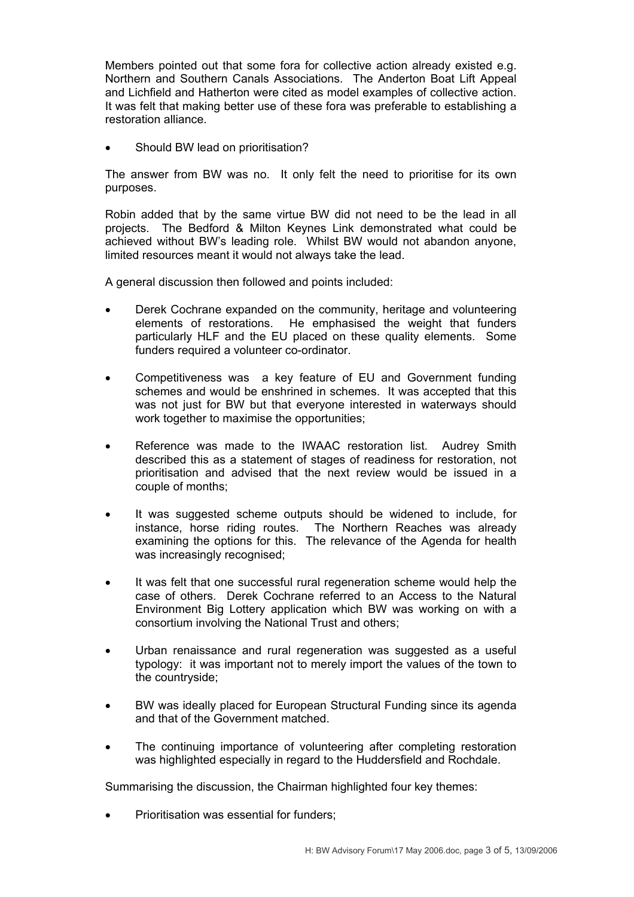Members pointed out that some fora for collective action already existed e.g. Northern and Southern Canals Associations. The Anderton Boat Lift Appeal and Lichfield and Hatherton were cited as model examples of collective action. It was felt that making better use of these fora was preferable to establishing a restoration alliance.

Should BW lead on prioritisation?

The answer from BW was no. It only felt the need to prioritise for its own purposes.

Robin added that by the same virtue BW did not need to be the lead in all projects. The Bedford & Milton Keynes Link demonstrated what could be achieved without BW's leading role. Whilst BW would not abandon anyone, limited resources meant it would not always take the lead.

A general discussion then followed and points included:

- Derek Cochrane expanded on the community, heritage and volunteering elements of restorations. He emphasised the weight that funders particularly HLF and the EU placed on these quality elements. Some funders required a volunteer co-ordinator.
- Competitiveness was a key feature of EU and Government funding schemes and would be enshrined in schemes. It was accepted that this was not just for BW but that everyone interested in waterways should work together to maximise the opportunities;
- Reference was made to the IWAAC restoration list. Audrey Smith described this as a statement of stages of readiness for restoration, not prioritisation and advised that the next review would be issued in a couple of months;
- It was suggested scheme outputs should be widened to include, for instance, horse riding routes. The Northern Reaches was already examining the options for this. The relevance of the Agenda for health was increasingly recognised;
- It was felt that one successful rural regeneration scheme would help the case of others. Derek Cochrane referred to an Access to the Natural Environment Big Lottery application which BW was working on with a consortium involving the National Trust and others;
- Urban renaissance and rural regeneration was suggested as a useful typology: it was important not to merely import the values of the town to the countryside;
- BW was ideally placed for European Structural Funding since its agenda and that of the Government matched.
- The continuing importance of volunteering after completing restoration was highlighted especially in regard to the Huddersfield and Rochdale.

Summarising the discussion, the Chairman highlighted four key themes:

Prioritisation was essential for funders;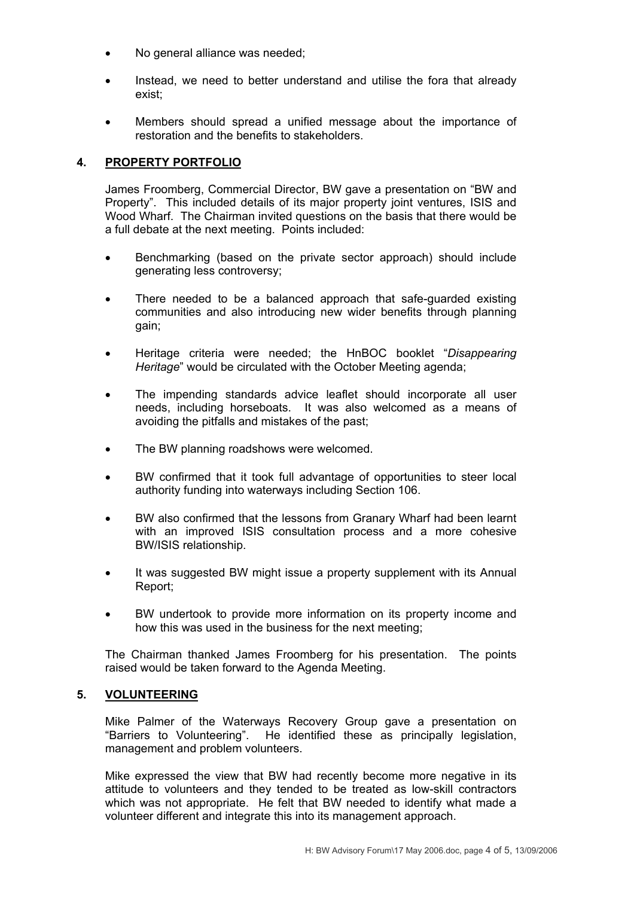- No general alliance was needed;
- Instead, we need to better understand and utilise the fora that already exist;
- Members should spread a unified message about the importance of restoration and the benefits to stakeholders.

# **4. PROPERTY PORTFOLIO**

James Froomberg, Commercial Director, BW gave a presentation on "BW and Property". This included details of its major property joint ventures, ISIS and Wood Wharf. The Chairman invited questions on the basis that there would be a full debate at the next meeting. Points included:

- Benchmarking (based on the private sector approach) should include generating less controversy;
- There needed to be a balanced approach that safe-guarded existing communities and also introducing new wider benefits through planning gain;
- Heritage criteria were needed; the HnBOC booklet "*Disappearing Heritage*" would be circulated with the October Meeting agenda;
- The impending standards advice leaflet should incorporate all user needs, including horseboats. It was also welcomed as a means of avoiding the pitfalls and mistakes of the past;
- The BW planning roadshows were welcomed.
- BW confirmed that it took full advantage of opportunities to steer local authority funding into waterways including Section 106.
- BW also confirmed that the lessons from Granary Wharf had been learnt with an improved ISIS consultation process and a more cohesive BW/ISIS relationship.
- It was suggested BW might issue a property supplement with its Annual Report;
- BW undertook to provide more information on its property income and how this was used in the business for the next meeting;

The Chairman thanked James Froomberg for his presentation. The points raised would be taken forward to the Agenda Meeting.

## **5. VOLUNTEERING**

Mike Palmer of the Waterways Recovery Group gave a presentation on "Barriers to Volunteering". He identified these as principally legislation, management and problem volunteers.

Mike expressed the view that BW had recently become more negative in its attitude to volunteers and they tended to be treated as low-skill contractors which was not appropriate. He felt that BW needed to identify what made a volunteer different and integrate this into its management approach.